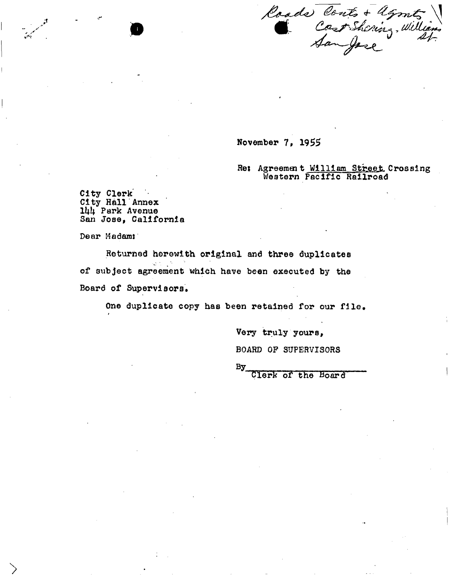Coads Conts & Agmes

**November 7\$ 1955** 

Ret Agreement William Street Crossing Western Pacific Railroad

City Clerk City Hall Annex 144 Park Avenue San Jose, California

Dear Madam:

*>* 

Returned herewith original and three duplicates of subject agreement which have been executed by the Board of Supervisors.

One duplicate copy has been retained for our file.

Very truly yours,

BOARD OP SUPERVISORS

 $By$ 

Clerk of the Board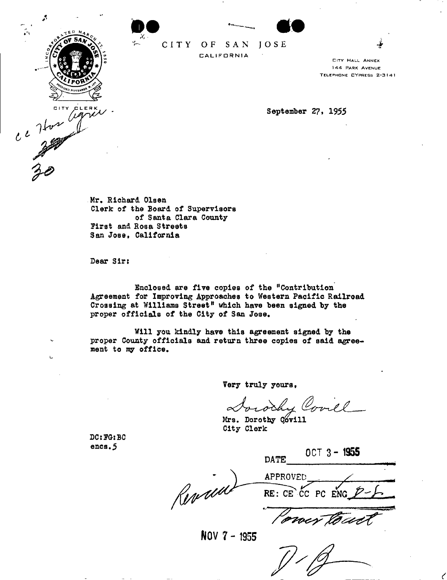



CALIFORNIA

CITY HALL ANNEX 144 PARK AVENUE TELEPHONE CYPRESS 2-3141

September 27, 1955

Mr. Richard Olsen Clerk of the Board of Supervisors of Santa Clara County First and Hosa Streets San Jose, California

Dear Sir:

E How your

Unclosed are five copies of the "Contribution Agreement for Improving Approaches to Western Pacific Railroad Crossing at Williams Street" which have been signed by the proper officials of the City of San Jose,

Will you kindly have this agreement signed by the proper County officials and return three copies of said agreement to my office.

Very truly yours,

Mrs. Dorothy Obvill City Clerk

DC: FG: BC encs.5

DATE Review **APPROVED**  $P = \sqrt{r}$ RE: CE CC PC ENG

*i z* 

OCT 3-**1955** 

**NOV 7 - 1955**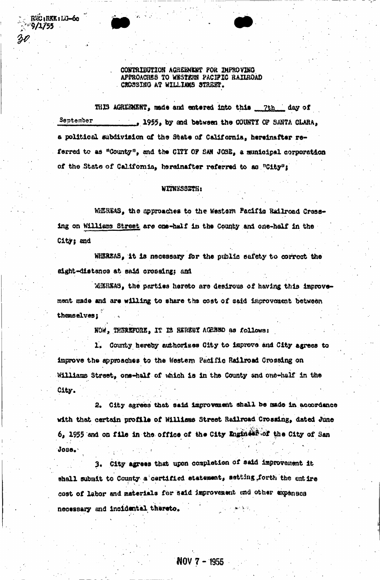CONTRIBUTION AGREEMENT FOR IMPROVING APPROACHES TO WESTEEN PACIFIC RAILROAD CROSSING AT WILLIAMS STREET.

REGIRKK: LG-60

 $9/1755$ 

THIS AGREEMENT, made and entered into this 7th day of September 1955, by and between the COUNTY OF SANTA CLARA, a political subdivision of the State of California, hereinafter referred to as "County", and the CITY OF SAN JOSE, a municipal corporation of the State of California, hereinafter referred to as "City";

### WITNESSETH:

WEEREAS, the approaches to the Western Pacific Railrond Crossing on Williams Street are one-half in the County and one-half in the City; and

WHEREAS, it is necessary for the public safety to correct the aight-distance at said oresaing; and

WIEREAS, the parties hereto are desirous of having this improvement made and are willing to share the cost of said improvement between thomselves:

NOW. THERIFORE, IT IS REREBY AGEBED as follows:

1. County hereby authorizes City to improve and City agrees to improve the approaches to the Western Pacific Railroad Crossing on Williams Street, one-half of which is in the County and one-half in the City.

2. City agrees that said improvement shall be made in accordance with that certain profile of Williams Street Railroad Crossing, dated June 6, 1955 and on file in the office of the City Enginess of the City of San  $Jo30.$ 

3. City agrees that upon completion of said improvement it shall submit to County a certified statement, setting forth the ontire cost of labor and materials for said improvement and other expenses necessary and incidental thereto.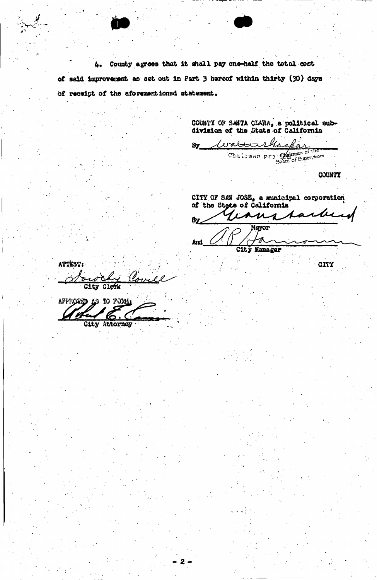County agrees that it shall pay one-half the total cost 4. of said improvement as set out in Part 3 hereof within thirty (30) days of receipt of the aforement ioned statement.

2

COUNTY OF SANTA CLARA, a political sub-<br>division of the State of California

Walterstaska  $B_{\textbf{y}}$ Chattman pro Chairman of the COUNTY

CITY OF SAN JOSE, a municipal corporation of the Stete of Colifornia

1 ster ◢  $\boldsymbol{\mathcal{U}}$ A  $\mathbf{I}$ **By** Hayor V And City Manager

CITY

ATTEST:  $.11$  $C1$ ank City

APPROVED AS TO FORM **City Attorney**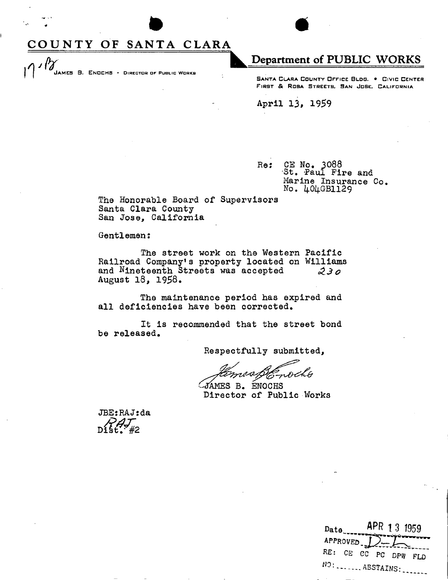## **COUNT Y O F SANT A CLAR A**

**JAMES B. ENOCHS - DIRECTOR OF PUBLIC WORKB** 

### **Department of PUBLIC WORKS**

**' SANT A CLAR A CDUNT Y OFFIC E BLDG. • CIVI C CENTE R FIRS T & ROS A STREETS, SA N JDSE, CALIFORNI A** 

April 13, 1959

Re: CE No. 3088 St. Paul Fire and Marine Insurance Co. No. 404GB1129

The Honorable Board of Supervisors Santa Clara County San Jose, California

Gentlemen:

The street work on the Western Pacific Railroad Company's property located on Williams<br>and Nineteenth Streets was accepted  $\frac{\partial^2 J}{\partial \rho^2}$ and Nineteenth Streets was accepted August 18, 1958.

Ŕ

The maintenance period has expired and all deficiencies have been corrected.

It is recommended that the street bond be released.

Respectfully submitted,

CJAMES B. ENOCHS Director of Public Works

JBE:RAJ:da

 APf? 1 3 *1959*  Date APPROVED RE: CE CC PC DPW FLD NO: ........ABSTAINS: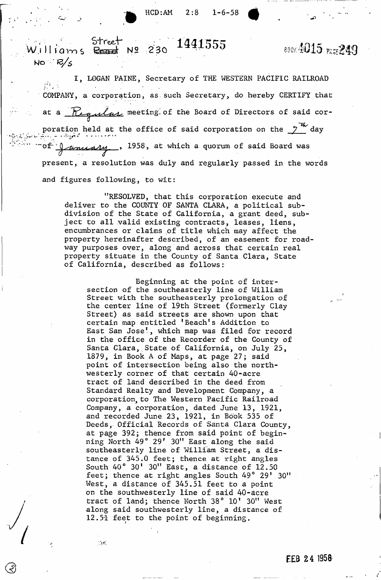HCD:AM 2:8 1-6-58

 $W111$  iams  $\frac{51}{5}$   $\frac{1441555}{230}$  $\frac{19441330}{1941330}$   $\frac{1941330}{13}$   $\frac{1941333}{137249}$ *o B/s* 

I, LOGAN PAINE, Secretary of THE WESTERN PACIFIC RAILROAD *•> i ,*  .<br>COMPANY, a corporation, as such Secretary, do hereby CERTIFY that at a Regular meeting of the Board of Directors of said corporation held at the office of said corporation on the  $\mathcal{I}^-$  day *.,J" , , , » •', ?;- r gt> if t- t* t t *b ' r-* « *V*  \* *\*\**   $\overline{0}$  is the same of satisfactor  $\overline{0}$ present, a resolution was duly and regularly passed in the words present, a resolution was duly and regularly passed in the words and figures following, to wit:

> "RESOLVED, that this corporation execute and deliver to the COUNTY OF SANTA CLARA, a political subdivision of the State of California, a grant deed, subject to all valid existing contracts, leases, liens, encumbrances or claims of title which may affect the property hereinafter described, of an easement for roadway purposes over, along and across that certain real property situate in the County of Santa Clara, State of California, described as follows:

Beginning at the point of intersection of the southeasterly line of William Street with the southeasterly prolongation of the center line of 19th Street (formerly Clay Street) as said streets are shown upon that certain map entitled 'Beach's Addition to East San Jose', which map was filed for record in the office of the Recorder of the County of Santa Clara, State of California, on July 25, 1879, in Book A of Maps, at page 27; said point of intersection being also the northwesterly corner of that certain 40-acre tract of land described in the deed from Standard Realty and Development Company, a corporation, to The Western Pacific Railroad Company, a corporation, dated June 13, 1921, and recorded June 23, 1921, in Book 535 of Deeds, Official Records of Santa Clara County, at page 392; thence from said point of beginning North  $49°$  29' 30" East along the said southeasterly line of William Street, a distance of 345.0 feet; thence at right angles South 40° 30' 30" East, a distance of 12.50 feet; thence at right angles South 49° 29<sup>1</sup> 30" West, a distance of 345.51 feet to a point on the southwesterly line of said 40-acre tract of land; thence North 38° 10' 30" West along said southwesterly line, a distance of 12.51 feet to the point of beginning.

 $\sim 10$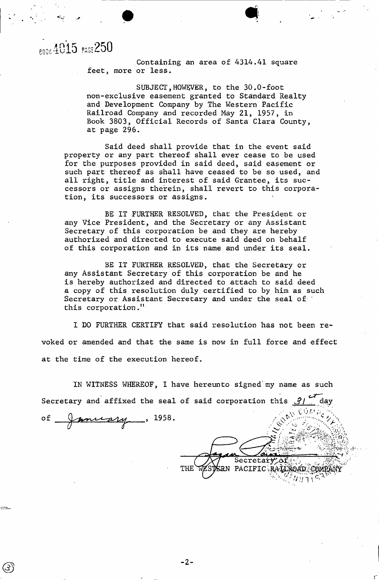# 103**\*4015** pase**250**

Containing an area of 4314.41 square feet, more or less,

SUBJECT, HOWEVER, to the 30.0-foot non-exclusive easement granted to Standard Realty and Development Company by The Western Pacific Railroad Company and recorded May 21, 1957, in Book 3803, Official Records of Santa Clara County, at page 296.

Said deed shall provide that in the event said property or any part thereof shall ever cease to be used for the purposes provided in said deed, said easement or such part thereof as shall have ceased to be so used, and all right, title and interest of said Grantee, its successors or assigns therein, shall revert to this corporation, its successors or assigns.

BE IT FURTHER RESOLVED, that the President or any Vice President, and the Secretary or any Assistant Secretary of this corporation be and they are hereby authorized and directed to execute said deed on behalf of this corporation and in its name and under its seal.

BE IT FURTHER RESOLVED, that the Secretary or any Assistant Secretary of this corporation be and he is hereby authorized and directed to attach to said deed a copy of this resolution duly certified to by him as such Secretary or Assistant Secretary and under the seal of this corporation."

I DO FURTHER CERTIFY that said resolution has not been revoked or amended and that the same is now in full force and effect at the time of the execution hereof.

IN WITNESS WHEREOF, I have hereunto signed my name as such Secretary and affixed the seal of said corporation this *3\*... day

 $\overline{\text{Secretaty}}$  of  $\mathfrak{g}$ 

THE WESTERN PACIFIC RALLROAD CG

Secretaty/OR, Y.

 $4971$ 

 $m$ uary , 1958.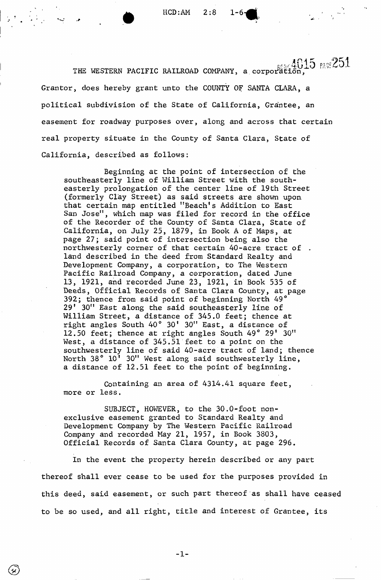$HCD:AM$  2:8

THE WESTERN PACIFIC RAILROAD COMPANY, a corporation, Grantor, does hereby grant unto the COUNTY OF SANTA CLARA, a political subdivision of the State of California, Grantee, an easement for roadway purposes over, along and across that certain real property situate in the County of Santa Clara, State of California, described as follows:

Beginning at the point of intersection of the southeasterly line of William Street with the southeasterly prolongation of the center line of 19th Street (formerly Clay Street) as said streets are shown upon, that certain map entitled "Beach's Addition to East San Jose", which map was filed for record in the office of the Recorder of the County of Santa Clara, State of California, on July 25, 1879, in Book A of Maps, at page 27; said point of intersection being also the northwesterly corner of that certain 40-acre tract of . land described in the deed from Standard Realty and Development Company, a corporation, to The Western Pacific Railroad Company, a corporation, dated June 13, 1921, and recorded June 23, 1921, in Book 535 of Deeds, Official Records of Santa Clara County, at page 392; thence from said point of beginning North 49° 29' 30" East along the said southeasterly line of William Street, a distance of 345.0 feet; thence at right angles South 40° 30' 30" East, a distance of 12.50 feet; thence at right angles South 49° 29<sup>1</sup> 30" West, a distance of 345.51 feet to a point on the southwesterly line of said 40-acre tract of land; thence North 38°  $10^1$  30" West along said southwesterly line, a distance of 12.51 feet to the point of beginning.

Containing an area of 4314.41 square feet, more or less.

SUBJECT, HOWEVER, to the 30.0-foot nonexclusive easement granted to Standard Realty and Development Company by The Western Pacific Railroad Company and recorded May 21, 1957, in Book 3803, Official Records of Santa Clara County, at page 296.

In the event the property herein described or any part thereof shall ever cease to be used for the purposes provided in this deed, said easement, or such part thereof as shall have ceased to be so used, and all right, title and interest of Grantee, its

 $-1-$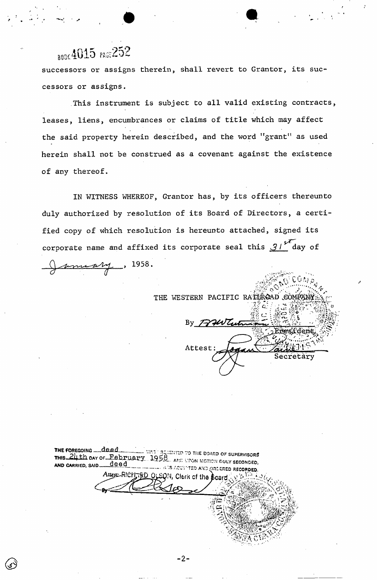## **BRDE 4015 PAGE 252**

successors or assigns therein, shall revert to Grantor, its successors or assigns.

This instrument is subject to all valid existing contracts, leases, liens, encumbrances or claims of title which may affect the said property herein described, and the word "grant" as used herein shall not be construed as a covenant against the existence of any thereof.

IN WITNESS WHEREOF, Grantor has, by its officers thereunto duly authorized by resolution of its Board of Directors, a certified copy of which resolution is hereunto attached, signed its corporate name and affixed its corporate seal this  $\mathcal{I}$   $\mathcal{I}$  day of <u>snuary</u>, 1958.

THE WESTERN PACIFIC RATIROAD COMPANY

By FAWTutz Attest: Secretary

THE FOREGOING <u>deed</u> ETTED TO THE BOARD OF SUPERVISORS , wasil ar THIS 24th DAY OF February 1958 AND CRON MOTION BULY SECONDED. AND CARRIED, SAID \_\_\_\_\_ deed A 18 ACCS TED AND ORDERED RECORDED. Attest-RICHTRD OLS QN, Clerk of the Boar

 $-2-$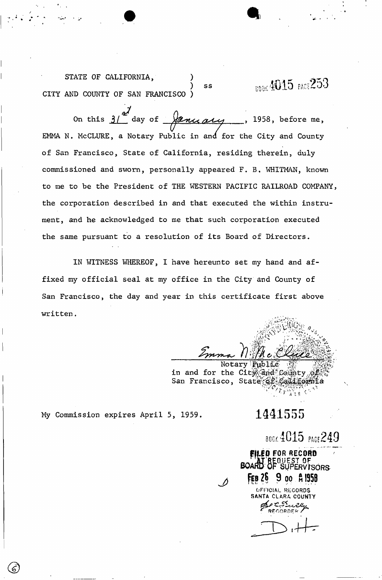STATE OF CALIFORNIA, ) ss **800c4015** PAGE 253 CITY AND COUNTY OF SAN FRANCISCO )

On this  $31^{27}$  day of January , 1958, before me, EMMA N. McCLURE, a Notary Public in and for the City and County of San Francisco, State of California, residing therein, duly commissioned and sworn, personally appeared F. B, WHITMAN, known to me to be the President of THE WESTERN PACIFIC RAILROAD COMPANY, the corporation described in and that executed the within instrument, and he acknowledged to me that such corporation executed the same pursuant to a resolution of its Board of Directors.

IN WITNESS WHEREOF, I have hereunto set my hand and affixed my official seal at my office in the City and County of San Francisco, the day and year in this certificate first above written.

Public Notarv

in and for the City and County San Francisco, State gf

My Commission expires April 5, 1959.  $1441555$ 

**80cr>4C15 PAGE249** 

**FEB 28 9 oo A 1958** 

**OFt-'ICIAI. HiiCORDS SANTA CLARA COUNTY** 

ECORDER

**EILED FOR RECORD \_\_QUES T OF BOARD OF SUPERVISORS**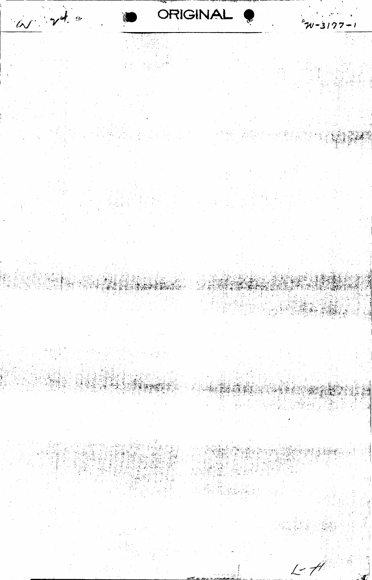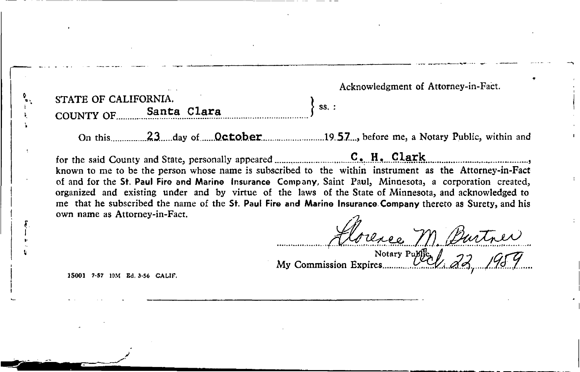| STATE OF CALIFORNIA. |             |  |  |
|----------------------|-------------|--|--|
| COUNTY OF.           | Santa Clara |  |  |

Acknowledgment of Attorney-in-Fact.

On this 23. day of **October.** 1957..., before me, a Notary Public, within and

for the said County and State, personally appeared Hj,".Clark , known to me to be the person whose name is subscribed to the within instrument as the Attorney-in-Fact of and for the **St. Paul Fire and Marine Insurance Company,** Saint Paul, Minnesota, a corporation created, organized and existing under and by virtue of the laws of the State of Minnesota, and acknowledged to me that he subscribed the name of the **St. Paul Fire and Marine Insurance Company** thereto as Surety, and his own name as Attorney-in-Fact. ^

Lorence M Burtner

Notary Public 1

15001 7-57 10M Ed. 3-56 CALIF,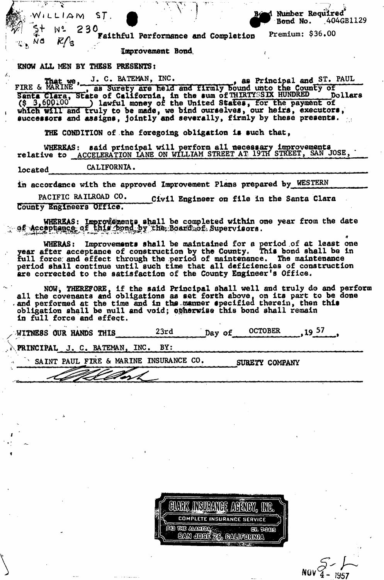$230$  Faithful Performance and Completion

Number Required<br>Bond No. 404GB1129 *4 0* 

Premium:  $$36.00$ 

Improvement Bond

•

KNOW ALL MEN BY THESE PRESENTS:

**^.-Willia m ST. M** 

N<sup>o</sup>

 $\mathbb{C}_{\mathbb{B}}$  No

That we, J. C. BATEMAN, INC. as Principal and ST. PAUL FIRE & MARINE as Surety are held and firmly bound unto the County of Santa Clara, State of California, in the eum of THIRTYSSIX HUNDRED Dollara  $(3, 3,600100)$  lawful money of the United States, for the payment of which will and truly to be made, we bind ourselves, our heirs, executors, successors and assigns, jointly and aeverally, firmly by theae presents.

THE CONDITION of the foregoing obligation is auch that,

WHEREAS: said principal will perform all necessary improvements  $\sim$ relative to ACCELERATION LANE ON WILLIAM STREET AT 19TH STREET, SAN JOSE, located CALIFORNIA.

in accordance with the approved Improvement Plans prepared by WESTERN

PACIFIC RAILROAD CO. Civil Engineer on file in the Santa Clara County Engineers Office.

WHEREAS: Improvements shall be completed within one year from the date<br>see this bond by the Board of Supervisors.

WHERAS: Improvements shall be maintained for a period of at least one year after acceptance of construction by the County. This bond shall be in full force: and effect through the period of maintenance. The maintenance period shall continue until such time that all deficiencies of construction are corrected to the satisfaction of the County Engineer's Office.

NOW, THEREFORE, if the said Principal shall well and truly do and perform all the covenants and obligations aa set forth above, on ita part to be done and performed at the time and in the manner specified therein, then this obligation shall be null and void; otherwise this bond shall remain In full force and effect.

WITNESS OUR HANDS THIS 23rd Day of OCTOBER 19 57

PRINCIPAL J, C, BATEMAN, INC. BY:

SAINT PAUL FIRE & MARINE INSURANCE CO. SURETY COMPANY



 $\text{Now} \widetilde{q}_{-1}$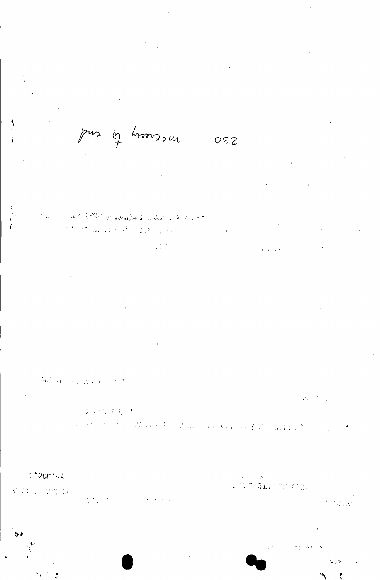prébende.<br>Préperde  $\label{eq:G} \mathcal{G}^{(n)}_{\mathcal{G}}(\mathcal{G},\mathcal{G})=\mathcal{G}^{(n)}_{\mathcal{G}}(\mathcal{G}^{(n)}_{\mathcal{G}}(\mathcal{G},\mathcal{G}))$ 

andra San<br>Andra San Chivan

a de Camera de la Cada de Camara de la Camara de Camara de Camara de la Camara de Camara de la Camara de la Ca

 $\mathcal{L}^{\text{max}}_{\text{max}}$ (第19条第4条)  $\frac{1}{2}$  ,  $\frac{1}{2}$ 

. We can expect over  $\mathbb{R}^{2n}$ 

a 1999 – Alaith Bottfall, <mark>en akkaa A</mark>lai Andalai ay dayan Ingar<br>1990 – Alaith Alban a dahar a<sup>b</sup>ar 2004 tana ang ka

230 mecreaux de end.

 $\label{eq:2.1} \frac{1}{\sqrt{2}}\left(\frac{1}{\sqrt{2}}\right)^{2} \left(\frac{1}{\sqrt{2}}\right)^{2} \left(\frac{1}{\sqrt{2}}\right)^{2} \left(\frac{1}{\sqrt{2}}\right)^{2} \left(\frac{1}{\sqrt{2}}\right)^{2} \left(\frac{1}{\sqrt{2}}\right)^{2} \left(\frac{1}{\sqrt{2}}\right)^{2} \left(\frac{1}{\sqrt{2}}\right)^{2} \left(\frac{1}{\sqrt{2}}\right)^{2} \left(\frac{1}{\sqrt{2}}\right)^{2} \left(\frac{1}{\sqrt{2}}\right)^{2} \left(\$ 

 $\label{eq:2.1} \frac{1}{\sqrt{2}}\left(\frac{1}{\sqrt{2}}\right)^{2} \left(\frac{1}{\sqrt{2}}\right)^{2} \left(\frac{1}{\sqrt{2}}\right)^{2} \left(\frac{1}{\sqrt{2}}\right)^{2} \left(\frac{1}{\sqrt{2}}\right)^{2} \left(\frac{1}{\sqrt{2}}\right)^{2} \left(\frac{1}{\sqrt{2}}\right)^{2} \left(\frac{1}{\sqrt{2}}\right)^{2} \left(\frac{1}{\sqrt{2}}\right)^{2} \left(\frac{1}{\sqrt{2}}\right)^{2} \left(\frac{1}{\sqrt{2}}\right)^{2} \left(\$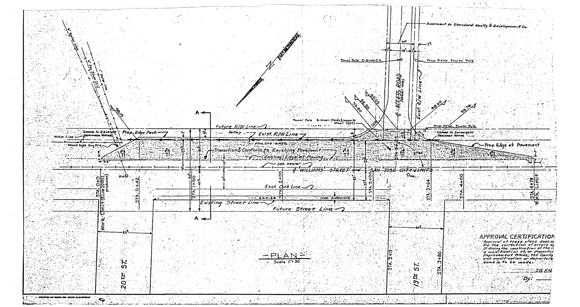|                          |                                      |                              | $\mathcal{F} \rightarrow$                    |                                                                |                                               |
|--------------------------|--------------------------------------|------------------------------|----------------------------------------------|----------------------------------------------------------------|-----------------------------------------------|
|                          |                                      |                              |                                              |                                                                | <b>CONTRACTOR</b>                             |
|                          |                                      |                              |                                              |                                                                |                                               |
| Woter Line Pearman Waren | Prop. Edge Pave.                     |                              | $\sum_{i=1}^{n}$<br>$ \sim$ $\sim$ $Y$ olley | Future R/W Line<br>7 Exist. R/W Line                           | 8-Wires (feed                                 |
| Street light Guy Poles   | <u>ਪ੍ਰਸ</u> ਾਸ                       |                              |                                              | flow line ales You<br>Transition& Conform to Existing Parement | -CExisting Edge of Powing<br>$son.$ sewer $-$ |
|                          | <b>MAO</b><br>Ο<br>$\frac{378}{570}$ | ing).<br>Sta<br>$\sigma$ and | $\overline{1}$<br>$\frac{1}{2}$              | O<br>260.28                                                    | Exist. Curb Line<br>CONC. Side                |
|                          | Ē<br>u<br>$\tilde{\mathbf{x}}$       |                              | Existing Street Line-                        |                                                                | Future Street Line-                           |
|                          |                                      |                              |                                              | $\neg$ PLA<br>$5 - 5$ cale $1 - 30$                            |                                               |
|                          | $\mathcal{R}$<br><b>2014</b>         |                              |                                              |                                                                |                                               |

रिक्टर <sub>हो</sub>।